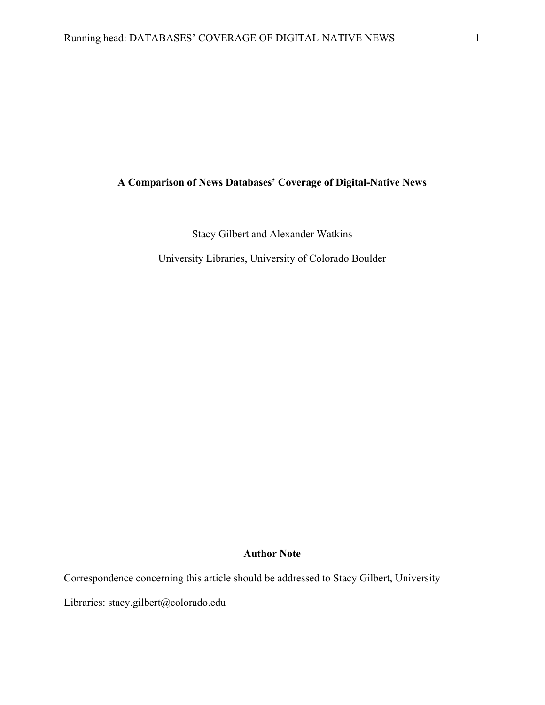## **A Comparison of News Databases' Coverage of Digital-Native News**

Stacy Gilbert and Alexander Watkins

University Libraries, University of Colorado Boulder

### **Author Note**

Correspondence concerning this article should be addressed to Stacy Gilbert, University

Libraries: stacy.gilbert@colorado.edu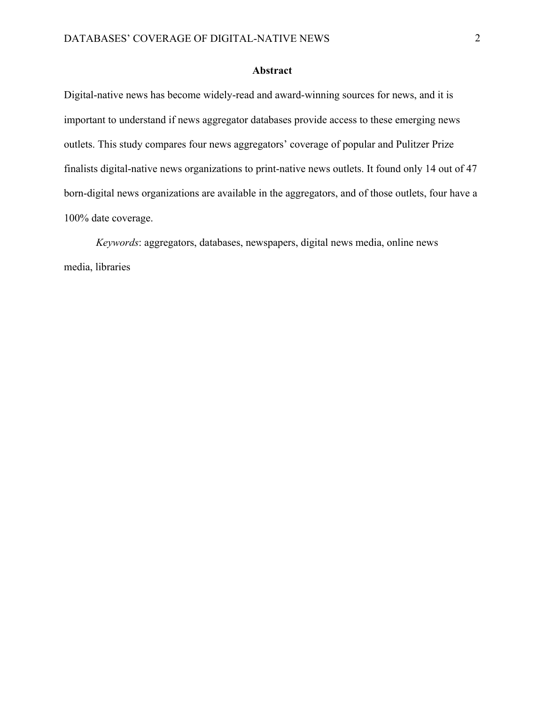#### **Abstract**

Digital-native news has become widely-read and award-winning sources for news, and it is important to understand if news aggregator databases provide access to these emerging news outlets. This study compares four news aggregators' coverage of popular and Pulitzer Prize finalists digital-native news organizations to print-native news outlets. It found only 14 out of 47 born-digital news organizations are available in the aggregators, and of those outlets, four have a 100% date coverage.

*Keywords*: aggregators, databases, newspapers, digital news media, online news media, libraries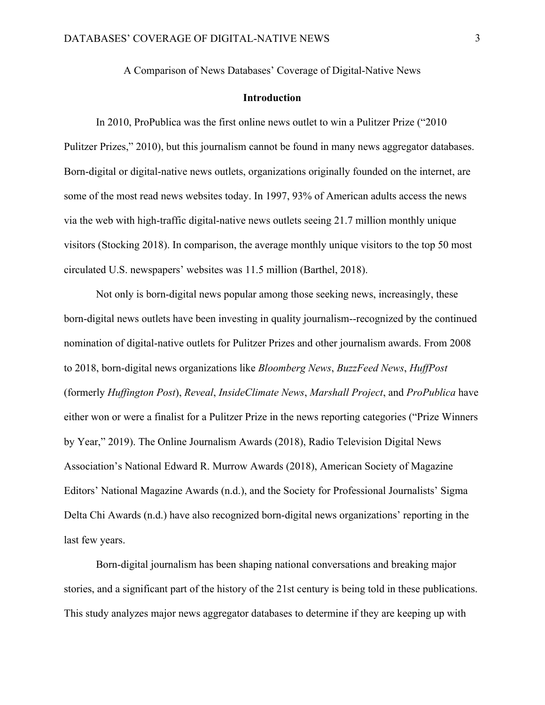A Comparison of News Databases' Coverage of Digital-Native News

#### **Introduction**

In 2010, ProPublica was the first online news outlet to win a Pulitzer Prize ("2010 Pulitzer Prizes," 2010), but this journalism cannot be found in many news aggregator databases. Born-digital or digital-native news outlets, organizations originally founded on the internet, are some of the most read news websites today. In 1997, 93% of American adults access the news via the web with high-traffic digital-native news outlets seeing 21.7 million monthly unique visitors (Stocking 2018). In comparison, the average monthly unique visitors to the top 50 most circulated U.S. newspapers' websites was 11.5 million (Barthel, 2018).

Not only is born-digital news popular among those seeking news, increasingly, these born-digital news outlets have been investing in quality journalism--recognized by the continued nomination of digital-native outlets for Pulitzer Prizes and other journalism awards. From 2008 to 2018, born-digital news organizations like *Bloomberg News*, *BuzzFeed News*, *HuffPost* (formerly *Huffington Post*), *Reveal*, *InsideClimate News*, *Marshall Project*, and *ProPublica* have either won or were a finalist for a Pulitzer Prize in the news reporting categories ("Prize Winners by Year," 2019). The Online Journalism Awards (2018), Radio Television Digital News Association's National Edward R. Murrow Awards (2018), American Society of Magazine Editors' National Magazine Awards (n.d.), and the Society for Professional Journalists' Sigma Delta Chi Awards (n.d.) have also recognized born-digital news organizations' reporting in the last few years.

Born-digital journalism has been shaping national conversations and breaking major stories, and a significant part of the history of the 21st century is being told in these publications. This study analyzes major news aggregator databases to determine if they are keeping up with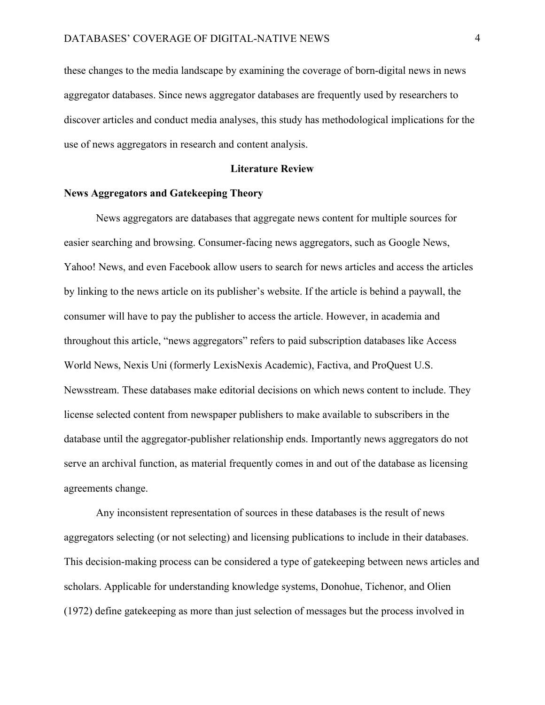these changes to the media landscape by examining the coverage of born-digital news in news aggregator databases. Since news aggregator databases are frequently used by researchers to discover articles and conduct media analyses, this study has methodological implications for the use of news aggregators in research and content analysis.

#### **Literature Review**

#### **News Aggregators and Gatekeeping Theory**

News aggregators are databases that aggregate news content for multiple sources for easier searching and browsing. Consumer-facing news aggregators, such as Google News, Yahoo! News, and even Facebook allow users to search for news articles and access the articles by linking to the news article on its publisher's website. If the article is behind a paywall, the consumer will have to pay the publisher to access the article. However, in academia and throughout this article, "news aggregators" refers to paid subscription databases like Access World News, Nexis Uni (formerly LexisNexis Academic), Factiva, and ProQuest U.S. Newsstream. These databases make editorial decisions on which news content to include. They license selected content from newspaper publishers to make available to subscribers in the database until the aggregator-publisher relationship ends. Importantly news aggregators do not serve an archival function, as material frequently comes in and out of the database as licensing agreements change.

Any inconsistent representation of sources in these databases is the result of news aggregators selecting (or not selecting) and licensing publications to include in their databases. This decision-making process can be considered a type of gatekeeping between news articles and scholars. Applicable for understanding knowledge systems, Donohue, Tichenor, and Olien (1972) define gatekeeping as more than just selection of messages but the process involved in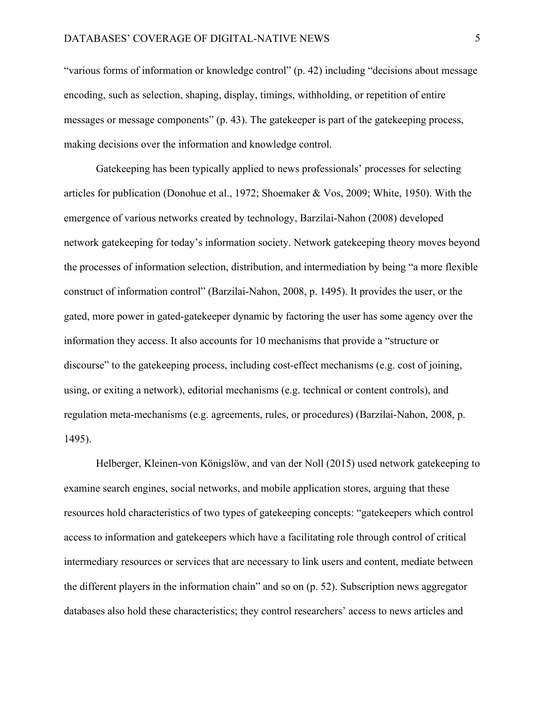"various forms of information or knowledge control" (p. 42) including "decisions about message encoding, such as selection, shaping, display, timings, withholding, or repetition of entire messages or message components" (p. 43). The gatekeeper is part of the gatekeeping process, making decisions over the information and knowledge control.

Gatekeeping has been typically applied to news professionals' processes for selecting articles for publication (Donohue et al., 1972; Shoemaker & Vos, 2009; White, 1950). With the emergence of various networks created by technology, Barzilai-Nahon (2008) developed network gatekeeping for today's information society. Network gatekeeping theory moves beyond the processes of information selection, distribution, and intermediation by being "a more flexible construct of information control" (Barzilai-Nahon, 2008, p. 1495). It provides the user, or the gated, more power in gated-gatekeeper dynamic by factoring the user has some agency over the information they access. It also accounts for 10 mechanisms that provide a "structure or discourse" to the gatekeeping process, including cost-effect mechanisms (e.g. cost of joining, using, or exiting a network), editorial mechanisms (e.g. technical or content controls), and regulation meta-mechanisms (e.g. agreements, rules, or procedures) (Barzilai-Nahon, 2008, p. 1495).

Helberger, Kleinen-von Königslöw, and van der Noll (2015) used network gatekeeping to examine search engines, social networks, and mobile application stores, arguing that these resources hold characteristics of two types of gatekeeping concepts: "gatekeepers which control access to information and gatekeepers which have a facilitating role through control of critical intermediary resources or services that are necessary to link users and content, mediate between the different players in the information chain" and so on (p. 52). Subscription news aggregator databases also hold these characteristics; they control researchers' access to news articles and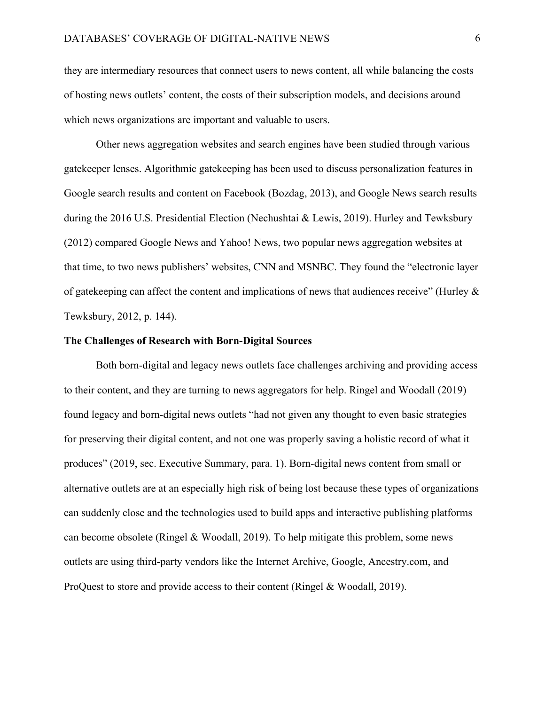they are intermediary resources that connect users to news content, all while balancing the costs of hosting news outlets' content, the costs of their subscription models, and decisions around which news organizations are important and valuable to users.

Other news aggregation websites and search engines have been studied through various gatekeeper lenses. Algorithmic gatekeeping has been used to discuss personalization features in Google search results and content on Facebook (Bozdag, 2013), and Google News search results during the 2016 U.S. Presidential Election (Nechushtai & Lewis, 2019). Hurley and Tewksbury (2012) compared Google News and Yahoo! News, two popular news aggregation websites at that time, to two news publishers' websites, CNN and MSNBC. They found the "electronic layer of gatekeeping can affect the content and implications of news that audiences receive" (Hurley & Tewksbury, 2012, p. 144).

#### **The Challenges of Research with Born-Digital Sources**

Both born-digital and legacy news outlets face challenges archiving and providing access to their content, and they are turning to news aggregators for help. Ringel and Woodall (2019) found legacy and born-digital news outlets "had not given any thought to even basic strategies for preserving their digital content, and not one was properly saving a holistic record of what it produces" (2019, sec. Executive Summary, para. 1). Born-digital news content from small or alternative outlets are at an especially high risk of being lost because these types of organizations can suddenly close and the technologies used to build apps and interactive publishing platforms can become obsolete (Ringel & Woodall, 2019). To help mitigate this problem, some news outlets are using third-party vendors like the Internet Archive, Google, Ancestry.com, and ProQuest to store and provide access to their content (Ringel & Woodall, 2019).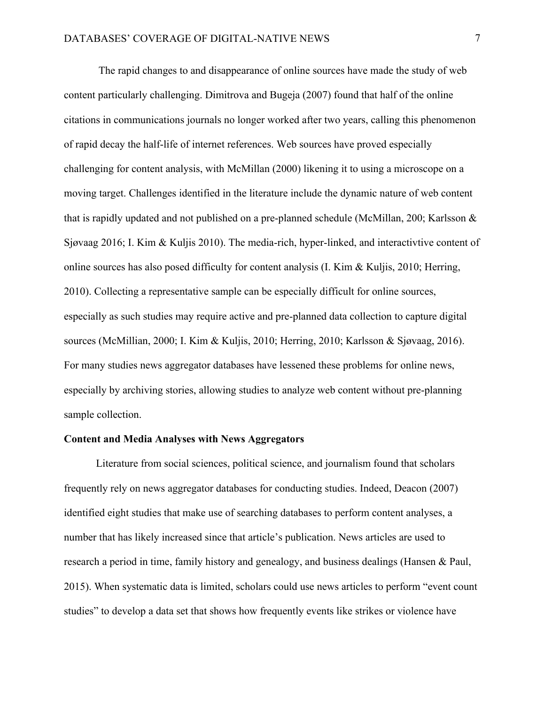The rapid changes to and disappearance of online sources have made the study of web content particularly challenging. Dimitrova and Bugeja (2007) found that half of the online citations in communications journals no longer worked after two years, calling this phenomenon of rapid decay the half-life of internet references. Web sources have proved especially challenging for content analysis, with McMillan (2000) likening it to using a microscope on a moving target. Challenges identified in the literature include the dynamic nature of web content that is rapidly updated and not published on a pre-planned schedule (McMillan, 200; Karlsson & Sjøvaag 2016; I. Kim & Kuljis 2010). The media-rich, hyper-linked, and interactivtive content of online sources has also posed difficulty for content analysis (I. Kim & Kuljis, 2010; Herring, 2010). Collecting a representative sample can be especially difficult for online sources, especially as such studies may require active and pre-planned data collection to capture digital sources (McMillian, 2000; I. Kim & Kuljis, 2010; Herring, 2010; Karlsson & Sjøvaag, 2016). For many studies news aggregator databases have lessened these problems for online news, especially by archiving stories, allowing studies to analyze web content without pre-planning sample collection.

#### **Content and Media Analyses with News Aggregators**

Literature from social sciences, political science, and journalism found that scholars frequently rely on news aggregator databases for conducting studies. Indeed, Deacon (2007) identified eight studies that make use of searching databases to perform content analyses, a number that has likely increased since that article's publication. News articles are used to research a period in time, family history and genealogy, and business dealings (Hansen & Paul, 2015). When systematic data is limited, scholars could use news articles to perform "event count studies" to develop a data set that shows how frequently events like strikes or violence have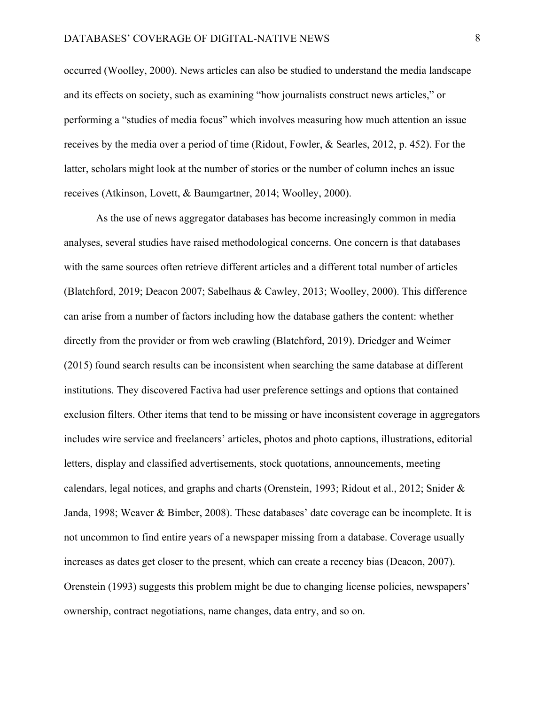occurred (Woolley, 2000). News articles can also be studied to understand the media landscape and its effects on society, such as examining "how journalists construct news articles," or performing a "studies of media focus" which involves measuring how much attention an issue receives by the media over a period of time (Ridout, Fowler, & Searles, 2012, p. 452). For the latter, scholars might look at the number of stories or the number of column inches an issue receives (Atkinson, Lovett, & Baumgartner, 2014; Woolley, 2000).

As the use of news aggregator databases has become increasingly common in media analyses, several studies have raised methodological concerns. One concern is that databases with the same sources often retrieve different articles and a different total number of articles (Blatchford, 2019; Deacon 2007; Sabelhaus & Cawley, 2013; Woolley, 2000). This difference can arise from a number of factors including how the database gathers the content: whether directly from the provider or from web crawling (Blatchford, 2019). Driedger and Weimer (2015) found search results can be inconsistent when searching the same database at different institutions. They discovered Factiva had user preference settings and options that contained exclusion filters. Other items that tend to be missing or have inconsistent coverage in aggregators includes wire service and freelancers' articles, photos and photo captions, illustrations, editorial letters, display and classified advertisements, stock quotations, announcements, meeting calendars, legal notices, and graphs and charts (Orenstein, 1993; Ridout et al., 2012; Snider & Janda, 1998; Weaver & Bimber, 2008). These databases' date coverage can be incomplete. It is not uncommon to find entire years of a newspaper missing from a database. Coverage usually increases as dates get closer to the present, which can create a recency bias (Deacon, 2007). Orenstein (1993) suggests this problem might be due to changing license policies, newspapers' ownership, contract negotiations, name changes, data entry, and so on.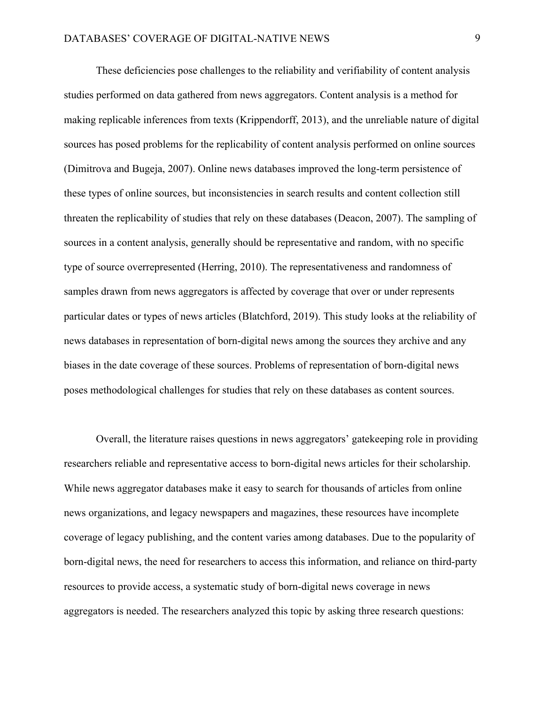These deficiencies pose challenges to the reliability and verifiability of content analysis studies performed on data gathered from news aggregators. Content analysis is a method for making replicable inferences from texts (Krippendorff, 2013), and the unreliable nature of digital sources has posed problems for the replicability of content analysis performed on online sources (Dimitrova and Bugeja, 2007). Online news databases improved the long-term persistence of these types of online sources, but inconsistencies in search results and content collection still threaten the replicability of studies that rely on these databases (Deacon, 2007). The sampling of sources in a content analysis, generally should be representative and random, with no specific type of source overrepresented (Herring, 2010). The representativeness and randomness of samples drawn from news aggregators is affected by coverage that over or under represents particular dates or types of news articles (Blatchford, 2019). This study looks at the reliability of news databases in representation of born-digital news among the sources they archive and any biases in the date coverage of these sources. Problems of representation of born-digital news poses methodological challenges for studies that rely on these databases as content sources.

Overall, the literature raises questions in news aggregators' gatekeeping role in providing researchers reliable and representative access to born-digital news articles for their scholarship. While news aggregator databases make it easy to search for thousands of articles from online news organizations, and legacy newspapers and magazines, these resources have incomplete coverage of legacy publishing, and the content varies among databases. Due to the popularity of born-digital news, the need for researchers to access this information, and reliance on third-party resources to provide access, a systematic study of born-digital news coverage in news aggregators is needed. The researchers analyzed this topic by asking three research questions: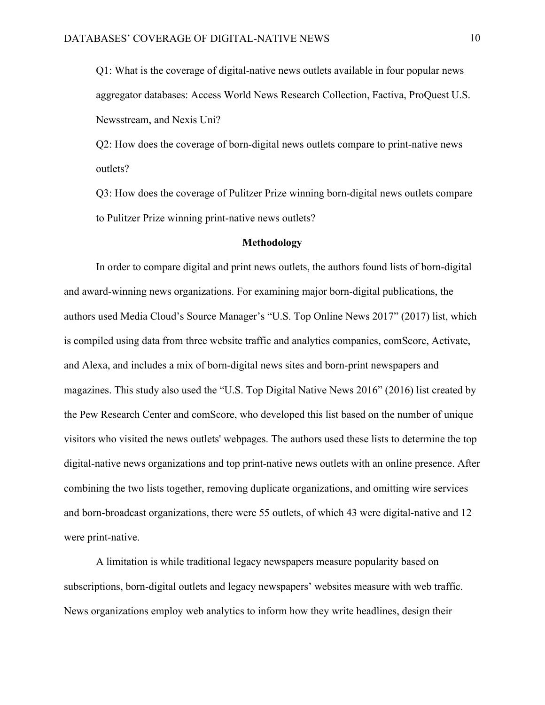Q1: What is the coverage of digital-native news outlets available in four popular news aggregator databases: Access World News Research Collection, Factiva, ProQuest U.S. Newsstream, and Nexis Uni?

Q2: How does the coverage of born-digital news outlets compare to print-native news outlets?

Q3: How does the coverage of Pulitzer Prize winning born-digital news outlets compare to Pulitzer Prize winning print-native news outlets?

#### **Methodology**

In order to compare digital and print news outlets, the authors found lists of born-digital and award-winning news organizations. For examining major born-digital publications, the authors used Media Cloud's Source Manager's "U.S. Top Online News 2017" (2017) list, which is compiled using data from three website traffic and analytics companies, comScore, Activate, and Alexa, and includes a mix of born-digital news sites and born-print newspapers and magazines. This study also used the "U.S. Top Digital Native News 2016" (2016) list created by the Pew Research Center and comScore, who developed this list based on the number of unique visitors who visited the news outlets' webpages. The authors used these lists to determine the top digital-native news organizations and top print-native news outlets with an online presence. After combining the two lists together, removing duplicate organizations, and omitting wire services and born-broadcast organizations, there were 55 outlets, of which 43 were digital-native and 12 were print-native.

A limitation is while traditional legacy newspapers measure popularity based on subscriptions, born-digital outlets and legacy newspapers' websites measure with web traffic. News organizations employ web analytics to inform how they write headlines, design their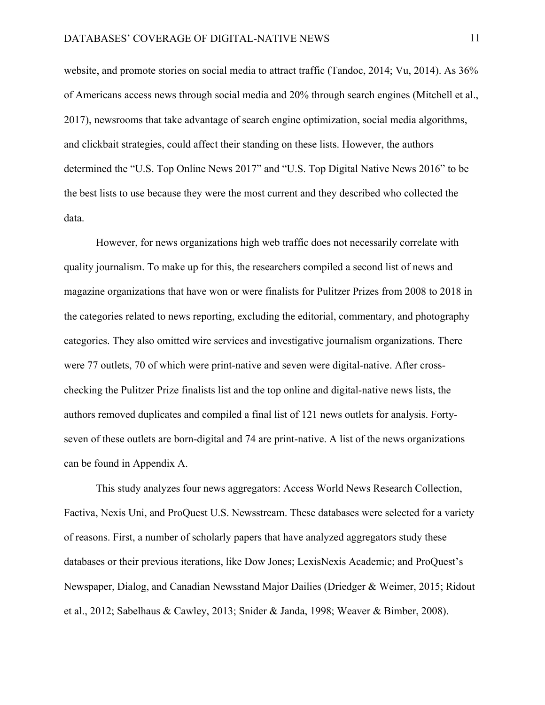website, and promote stories on social media to attract traffic (Tandoc, 2014; Vu, 2014). As 36% of Americans access news through social media and 20% through search engines (Mitchell et al., 2017), newsrooms that take advantage of search engine optimization, social media algorithms, and clickbait strategies, could affect their standing on these lists. However, the authors determined the "U.S. Top Online News 2017" and "U.S. Top Digital Native News 2016" to be the best lists to use because they were the most current and they described who collected the data.

However, for news organizations high web traffic does not necessarily correlate with quality journalism. To make up for this, the researchers compiled a second list of news and magazine organizations that have won or were finalists for Pulitzer Prizes from 2008 to 2018 in the categories related to news reporting, excluding the editorial, commentary, and photography categories. They also omitted wire services and investigative journalism organizations. There were 77 outlets, 70 of which were print-native and seven were digital-native. After crosschecking the Pulitzer Prize finalists list and the top online and digital-native news lists, the authors removed duplicates and compiled a final list of 121 news outlets for analysis. Fortyseven of these outlets are born-digital and 74 are print-native. A list of the news organizations can be found in Appendix A.

This study analyzes four news aggregators: Access World News Research Collection, Factiva, Nexis Uni, and ProQuest U.S. Newsstream. These databases were selected for a variety of reasons. First, a number of scholarly papers that have analyzed aggregators study these databases or their previous iterations, like Dow Jones; LexisNexis Academic; and ProQuest's Newspaper, Dialog, and Canadian Newsstand Major Dailies (Driedger & Weimer, 2015; Ridout et al., 2012; Sabelhaus & Cawley, 2013; Snider & Janda, 1998; Weaver & Bimber, 2008).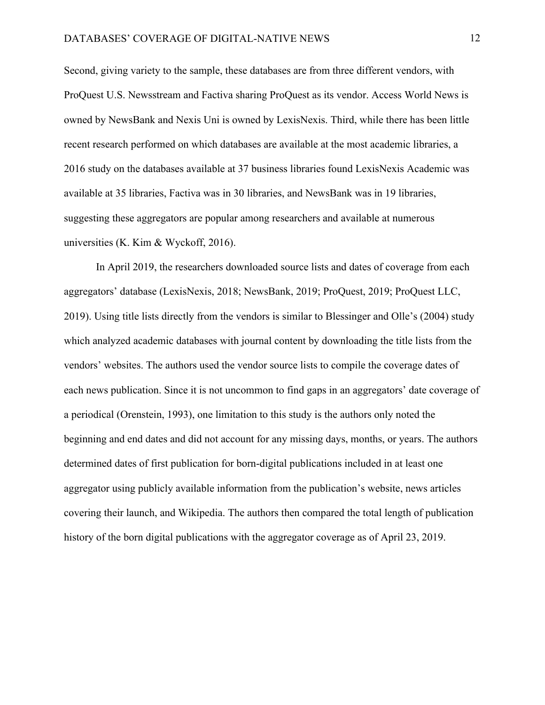Second, giving variety to the sample, these databases are from three different vendors, with ProQuest U.S. Newsstream and Factiva sharing ProQuest as its vendor. Access World News is owned by NewsBank and Nexis Uni is owned by LexisNexis. Third, while there has been little recent research performed on which databases are available at the most academic libraries, a 2016 study on the databases available at 37 business libraries found LexisNexis Academic was available at 35 libraries, Factiva was in 30 libraries, and NewsBank was in 19 libraries, suggesting these aggregators are popular among researchers and available at numerous universities (K. Kim & Wyckoff, 2016).

In April 2019, the researchers downloaded source lists and dates of coverage from each aggregators' database (LexisNexis, 2018; NewsBank, 2019; ProQuest, 2019; ProQuest LLC, 2019). Using title lists directly from the vendors is similar to Blessinger and Olle's (2004) study which analyzed academic databases with journal content by downloading the title lists from the vendors' websites. The authors used the vendor source lists to compile the coverage dates of each news publication. Since it is not uncommon to find gaps in an aggregators' date coverage of a periodical (Orenstein, 1993), one limitation to this study is the authors only noted the beginning and end dates and did not account for any missing days, months, or years. The authors determined dates of first publication for born-digital publications included in at least one aggregator using publicly available information from the publication's website, news articles covering their launch, and Wikipedia. The authors then compared the total length of publication history of the born digital publications with the aggregator coverage as of April 23, 2019.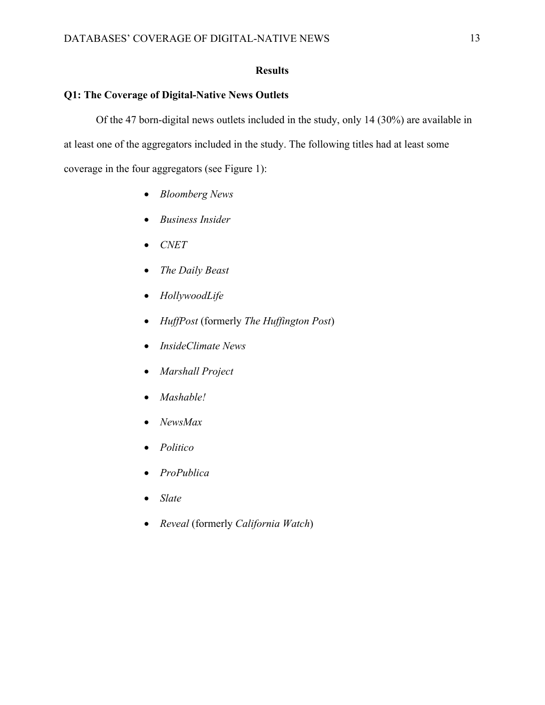### **Results**

### **Q1: The Coverage of Digital-Native News Outlets**

Of the 47 born-digital news outlets included in the study, only 14 (30%) are available in at least one of the aggregators included in the study. The following titles had at least some coverage in the four aggregators (see Figure 1):

- *Bloomberg News*
- *Business Insider*
- *CNET*
- *The Daily Beast*
- *HollywoodLife*
- *HuffPost* (formerly *The Huffington Post*)
- *InsideClimate News*
- *Marshall Project*
- *Mashable!*
- *NewsMax*
- *Politico*
- *ProPublica*
- *Slate*
- *Reveal* (formerly *California Watch*)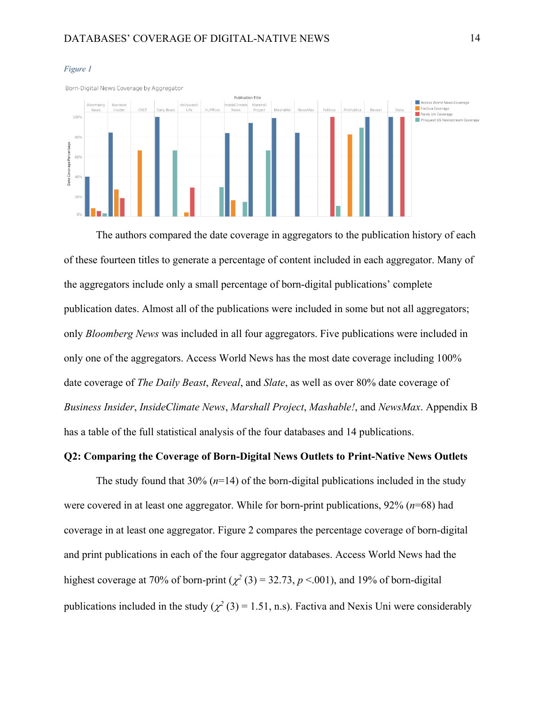

#### *Figure 1*

The authors compared the date coverage in aggregators to the publication history of each of these fourteen titles to generate a percentage of content included in each aggregator. Many of the aggregators include only a small percentage of born-digital publications' complete publication dates. Almost all of the publications were included in some but not all aggregators; only *Bloomberg News* was included in all four aggregators. Five publications were included in only one of the aggregators. Access World News has the most date coverage including 100% date coverage of *The Daily Beast*, *Reveal*, and *Slate*, as well as over 80% date coverage of *Business Insider*, *InsideClimate News*, *Marshall Project*, *Mashable!*, and *NewsMax*. Appendix B has a table of the full statistical analysis of the four databases and 14 publications.

#### **Q2: Comparing the Coverage of Born-Digital News Outlets to Print-Native News Outlets**

The study found that  $30\%$  ( $n=14$ ) of the born-digital publications included in the study were covered in at least one aggregator. While for born-print publications, 92% (*n*=68) had coverage in at least one aggregator. Figure 2 compares the percentage coverage of born-digital and print publications in each of the four aggregator databases. Access World News had the highest coverage at 70% of born-print ( $\chi^2$  (3) = 32.73, *p* <.001), and 19% of born-digital publications included in the study ( $\chi^2$  (3) = 1.51, n.s). Factiva and Nexis Uni were considerably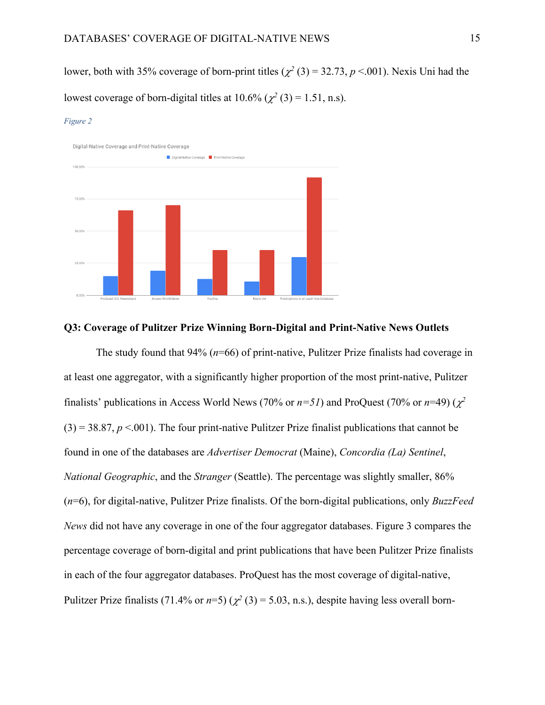lower, both with 35% coverage of born-print titles ( $\chi^2$  (3) = 32.73, *p* <.001). Nexis Uni had the lowest coverage of born-digital titles at  $10.6\%$  ( $\chi^2$  (3) = 1.51, n.s).

#### *Figure 2*



#### **Q3: Coverage of Pulitzer Prize Winning Born-Digital and Print-Native News Outlets**

The study found that 94% (*n*=66) of print-native, Pulitzer Prize finalists had coverage in at least one aggregator, with a significantly higher proportion of the most print-native, Pulitzer finalists' publications in Access World News (70% or  $n=51$ ) and ProQuest (70% or  $n=49$ ) ( $\chi^2$  $(3) = 38.87, p < .001$ ). The four print-native Pulitzer Prize finalist publications that cannot be found in one of the databases are *Advertiser Democrat* (Maine), *Concordia (La) Sentinel*, *National Geographic*, and the *Stranger* (Seattle). The percentage was slightly smaller, 86% (*n*=6), for digital-native, Pulitzer Prize finalists. Of the born-digital publications, only *BuzzFeed News* did not have any coverage in one of the four aggregator databases. Figure 3 compares the percentage coverage of born-digital and print publications that have been Pulitzer Prize finalists in each of the four aggregator databases. ProQuest has the most coverage of digital-native, Pulitzer Prize finalists (71.4% or  $n=5$ ) ( $\chi^2$  (3) = 5.03, n.s.), despite having less overall born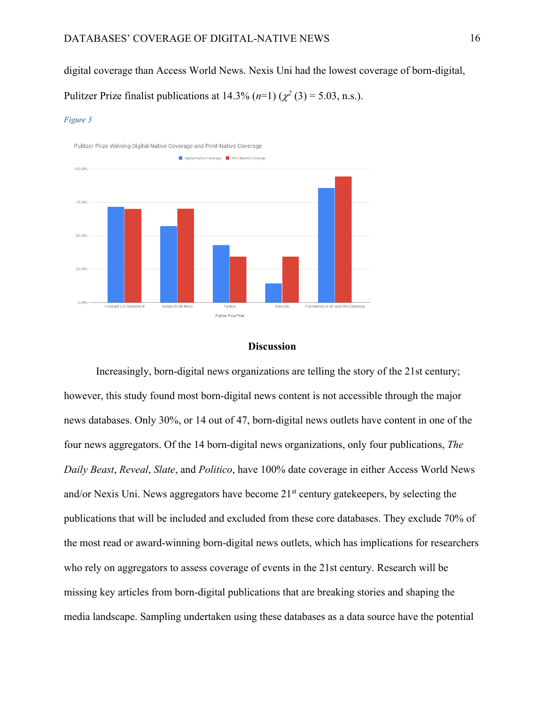digital coverage than Access World News. Nexis Uni had the lowest coverage of born-digital,

Pulitzer Prize finalist publications at  $14.3\%$   $(n=1)$   $(\chi^2(3) = 5.03, n.s.).$ 

#### *Figure 3*



#### **Discussion**

Increasingly, born-digital news organizations are telling the story of the 21st century; however, this study found most born-digital news content is not accessible through the major news databases. Only 30%, or 14 out of 47, born-digital news outlets have content in one of the four news aggregators. Of the 14 born-digital news organizations, only four publications, *The Daily Beast*, *Reveal*, *Slate*, and *Politico*, have 100% date coverage in either Access World News and/or Nexis Uni. News aggregators have become 21<sup>st</sup> century gatekeepers, by selecting the publications that will be included and excluded from these core databases. They exclude 70% of the most read or award-winning born-digital news outlets, which has implications for researchers who rely on aggregators to assess coverage of events in the 21st century. Research will be missing key articles from born-digital publications that are breaking stories and shaping the media landscape. Sampling undertaken using these databases as a data source have the potential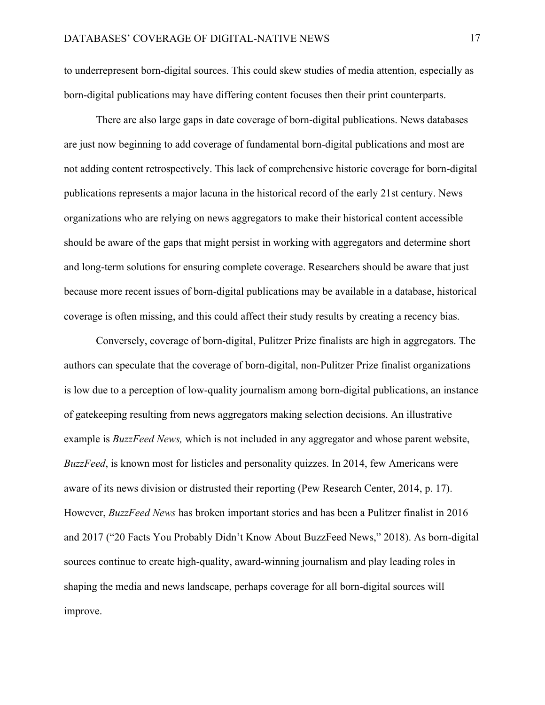to underrepresent born-digital sources. This could skew studies of media attention, especially as born-digital publications may have differing content focuses then their print counterparts.

There are also large gaps in date coverage of born-digital publications. News databases are just now beginning to add coverage of fundamental born-digital publications and most are not adding content retrospectively. This lack of comprehensive historic coverage for born-digital publications represents a major lacuna in the historical record of the early 21st century. News organizations who are relying on news aggregators to make their historical content accessible should be aware of the gaps that might persist in working with aggregators and determine short and long-term solutions for ensuring complete coverage. Researchers should be aware that just because more recent issues of born-digital publications may be available in a database, historical coverage is often missing, and this could affect their study results by creating a recency bias.

Conversely, coverage of born-digital, Pulitzer Prize finalists are high in aggregators. The authors can speculate that the coverage of born-digital, non-Pulitzer Prize finalist organizations is low due to a perception of low-quality journalism among born-digital publications, an instance of gatekeeping resulting from news aggregators making selection decisions. An illustrative example is *BuzzFeed News,* which is not included in any aggregator and whose parent website, *BuzzFeed*, is known most for listicles and personality quizzes. In 2014, few Americans were aware of its news division or distrusted their reporting (Pew Research Center, 2014, p. 17). However, *BuzzFeed News* has broken important stories and has been a Pulitzer finalist in 2016 and 2017 ("20 Facts You Probably Didn't Know About BuzzFeed News," 2018). As born-digital sources continue to create high-quality, award-winning journalism and play leading roles in shaping the media and news landscape, perhaps coverage for all born-digital sources will improve.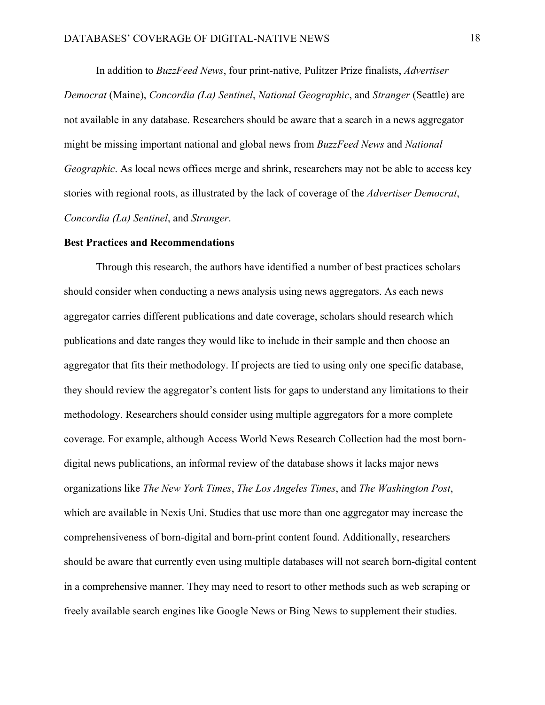In addition to *BuzzFeed News*, four print-native, Pulitzer Prize finalists, *Advertiser Democrat* (Maine), *Concordia (La) Sentinel*, *National Geographic*, and *Stranger* (Seattle) are not available in any database. Researchers should be aware that a search in a news aggregator might be missing important national and global news from *BuzzFeed News* and *National Geographic*. As local news offices merge and shrink, researchers may not be able to access key stories with regional roots, as illustrated by the lack of coverage of the *Advertiser Democrat*, *Concordia (La) Sentinel*, and *Stranger*.

#### **Best Practices and Recommendations**

Through this research, the authors have identified a number of best practices scholars should consider when conducting a news analysis using news aggregators. As each news aggregator carries different publications and date coverage, scholars should research which publications and date ranges they would like to include in their sample and then choose an aggregator that fits their methodology. If projects are tied to using only one specific database, they should review the aggregator's content lists for gaps to understand any limitations to their methodology. Researchers should consider using multiple aggregators for a more complete coverage. For example, although Access World News Research Collection had the most borndigital news publications, an informal review of the database shows it lacks major news organizations like *The New York Times*, *The Los Angeles Times*, and *The Washington Post*, which are available in Nexis Uni. Studies that use more than one aggregator may increase the comprehensiveness of born-digital and born-print content found. Additionally, researchers should be aware that currently even using multiple databases will not search born-digital content in a comprehensive manner. They may need to resort to other methods such as web scraping or freely available search engines like Google News or Bing News to supplement their studies.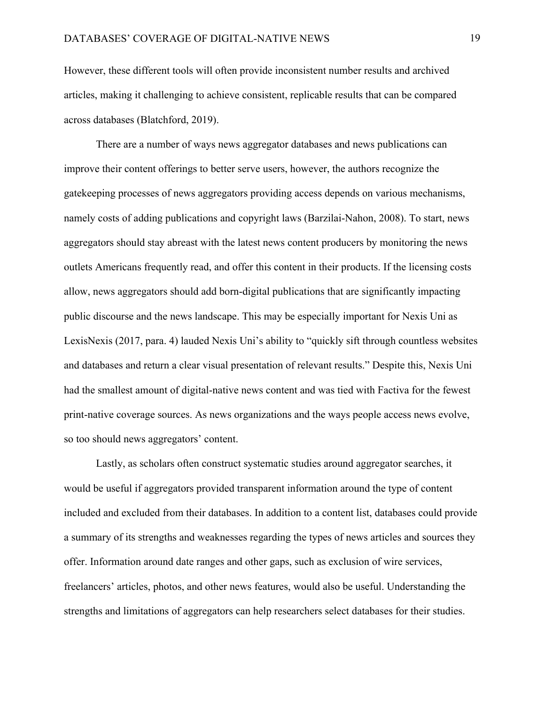However, these different tools will often provide inconsistent number results and archived articles, making it challenging to achieve consistent, replicable results that can be compared across databases (Blatchford, 2019).

There are a number of ways news aggregator databases and news publications can improve their content offerings to better serve users, however, the authors recognize the gatekeeping processes of news aggregators providing access depends on various mechanisms, namely costs of adding publications and copyright laws (Barzilai-Nahon, 2008). To start, news aggregators should stay abreast with the latest news content producers by monitoring the news outlets Americans frequently read, and offer this content in their products. If the licensing costs allow, news aggregators should add born-digital publications that are significantly impacting public discourse and the news landscape. This may be especially important for Nexis Uni as LexisNexis (2017, para. 4) lauded Nexis Uni's ability to "quickly sift through countless websites and databases and return a clear visual presentation of relevant results." Despite this, Nexis Uni had the smallest amount of digital-native news content and was tied with Factiva for the fewest print-native coverage sources. As news organizations and the ways people access news evolve, so too should news aggregators' content.

Lastly, as scholars often construct systematic studies around aggregator searches, it would be useful if aggregators provided transparent information around the type of content included and excluded from their databases. In addition to a content list, databases could provide a summary of its strengths and weaknesses regarding the types of news articles and sources they offer. Information around date ranges and other gaps, such as exclusion of wire services, freelancers' articles, photos, and other news features, would also be useful. Understanding the strengths and limitations of aggregators can help researchers select databases for their studies.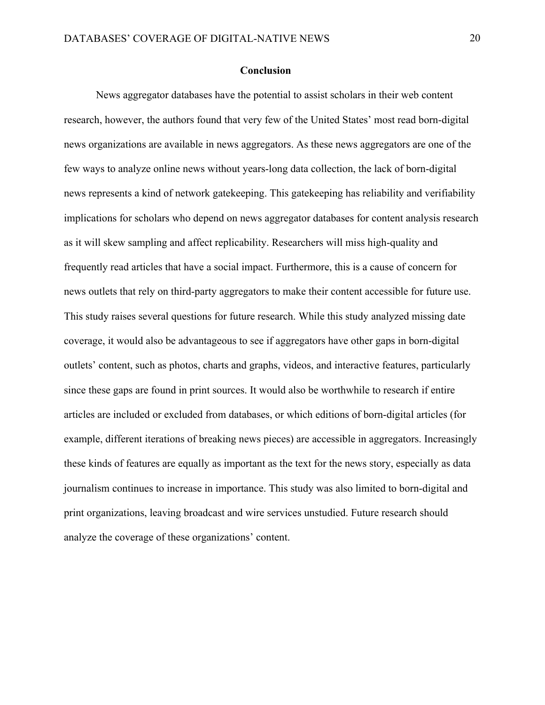#### **Conclusion**

News aggregator databases have the potential to assist scholars in their web content research, however, the authors found that very few of the United States' most read born-digital news organizations are available in news aggregators. As these news aggregators are one of the few ways to analyze online news without years-long data collection, the lack of born-digital news represents a kind of network gatekeeping. This gatekeeping has reliability and verifiability implications for scholars who depend on news aggregator databases for content analysis research as it will skew sampling and affect replicability. Researchers will miss high-quality and frequently read articles that have a social impact. Furthermore, this is a cause of concern for news outlets that rely on third-party aggregators to make their content accessible for future use. This study raises several questions for future research. While this study analyzed missing date coverage, it would also be advantageous to see if aggregators have other gaps in born-digital outlets' content, such as photos, charts and graphs, videos, and interactive features, particularly since these gaps are found in print sources. It would also be worthwhile to research if entire articles are included or excluded from databases, or which editions of born-digital articles (for example, different iterations of breaking news pieces) are accessible in aggregators. Increasingly these kinds of features are equally as important as the text for the news story, especially as data journalism continues to increase in importance. This study was also limited to born-digital and print organizations, leaving broadcast and wire services unstudied. Future research should analyze the coverage of these organizations' content.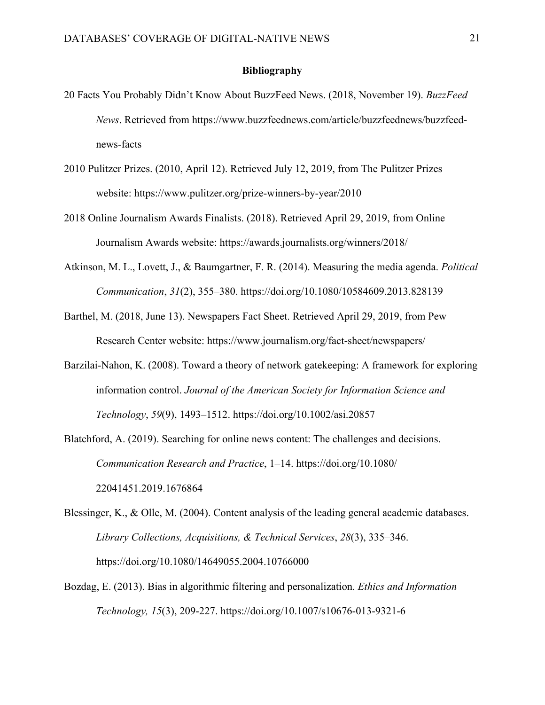#### **Bibliography**

- 20 Facts You Probably Didn't Know About BuzzFeed News. (2018, November 19). *BuzzFeed News*. Retrieved from https://www.buzzfeednews.com/article/buzzfeednews/buzzfeednews-facts
- 2010 Pulitzer Prizes. (2010, April 12). Retrieved July 12, 2019, from The Pulitzer Prizes website: https://www.pulitzer.org/prize-winners-by-year/2010
- 2018 Online Journalism Awards Finalists. (2018). Retrieved April 29, 2019, from Online Journalism Awards website: https://awards.journalists.org/winners/2018/
- Atkinson, M. L., Lovett, J., & Baumgartner, F. R. (2014). Measuring the media agenda. *Political Communication*, *31*(2), 355–380. https://doi.org/10.1080/10584609.2013.828139
- Barthel, M. (2018, June 13). Newspapers Fact Sheet. Retrieved April 29, 2019, from Pew Research Center website: https://www.journalism.org/fact-sheet/newspapers/
- Barzilai-Nahon, K. (2008). Toward a theory of network gatekeeping: A framework for exploring information control. *Journal of the American Society for Information Science and Technology*, *59*(9), 1493–1512. https://doi.org/10.1002/asi.20857
- Blatchford, A. (2019). Searching for online news content: The challenges and decisions. *Communication Research and Practice*, 1–14. https://doi.org/10.1080/ 22041451.2019.1676864
- Blessinger, K., & Olle, M. (2004). Content analysis of the leading general academic databases. *Library Collections, Acquisitions, & Technical Services*, *28*(3), 335–346. https://doi.org/10.1080/14649055.2004.10766000
- Bozdag, E. (2013). Bias in algorithmic filtering and personalization. *Ethics and Information Technology, 15*(3), 209-227. https://doi.org/10.1007/s10676-013-9321-6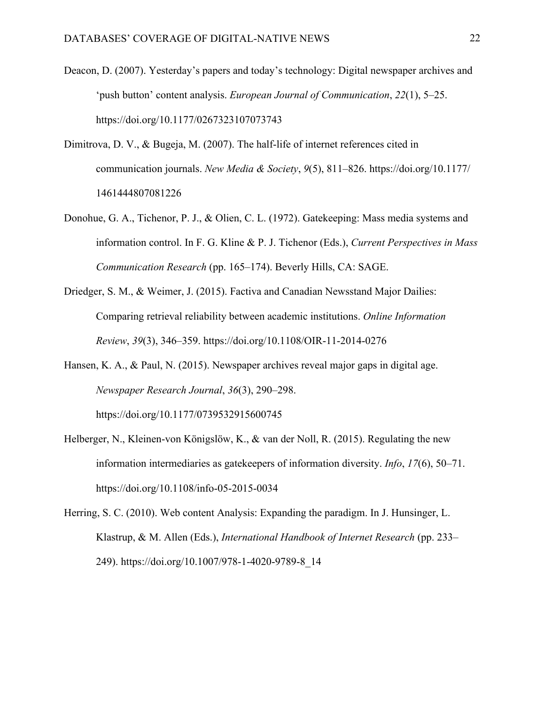- Deacon, D. (2007). Yesterday's papers and today's technology: Digital newspaper archives and 'push button' content analysis. *European Journal of Communication*, *22*(1), 5–25. https://doi.org/10.1177/0267323107073743
- Dimitrova, D. V., & Bugeja, M. (2007). The half-life of internet references cited in communication journals. *New Media & Society*, *9*(5), 811–826. https://doi.org/10.1177/ 1461444807081226
- Donohue, G. A., Tichenor, P. J., & Olien, C. L. (1972). Gatekeeping: Mass media systems and information control. In F. G. Kline & P. J. Tichenor (Eds.), *Current Perspectives in Mass Communication Research* (pp. 165–174). Beverly Hills, CA: SAGE.
- Driedger, S. M., & Weimer, J. (2015). Factiva and Canadian Newsstand Major Dailies: Comparing retrieval reliability between academic institutions. *Online Information Review*, *39*(3), 346–359. https://doi.org/10.1108/OIR-11-2014-0276
- Hansen, K. A., & Paul, N. (2015). Newspaper archives reveal major gaps in digital age. *Newspaper Research Journal*, *36*(3), 290–298.

https://doi.org/10.1177/0739532915600745

- Helberger, N., Kleinen-von Königslöw, K., & van der Noll, R. (2015). Regulating the new information intermediaries as gatekeepers of information diversity. *Info*, *17*(6), 50–71. https://doi.org/10.1108/info-05-2015-0034
- Herring, S. C. (2010). Web content Analysis: Expanding the paradigm. In J. Hunsinger, L. Klastrup, & M. Allen (Eds.), *International Handbook of Internet Research* (pp. 233– 249). https://doi.org/10.1007/978-1-4020-9789-8\_14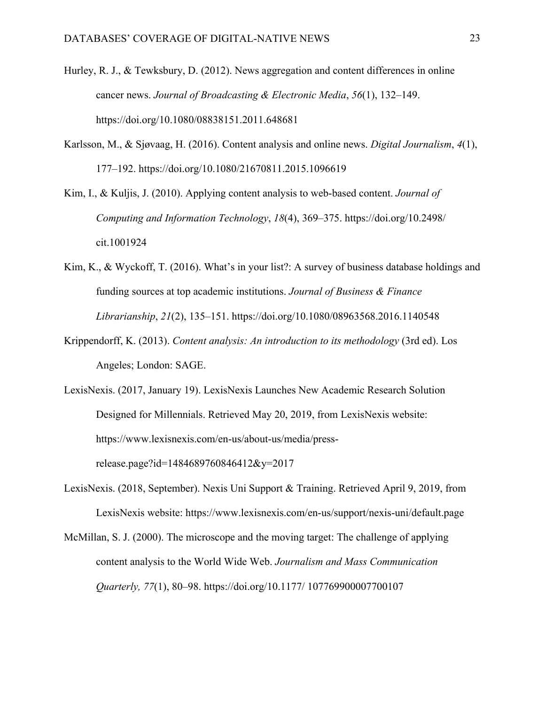- Hurley, R. J., & Tewksbury, D. (2012). News aggregation and content differences in online cancer news. *Journal of Broadcasting & Electronic Media*, *56*(1), 132–149. https://doi.org/10.1080/08838151.2011.648681
- Karlsson, M., & Sjøvaag, H. (2016). Content analysis and online news. *Digital Journalism*, *4*(1), 177–192. https://doi.org/10.1080/21670811.2015.1096619

Kim, I., & Kuljis, J. (2010). Applying content analysis to web-based content. *Journal of Computing and Information Technology*, *18*(4), 369–375. https://doi.org/10.2498/ cit.1001924

- Kim, K., & Wyckoff, T. (2016). What's in your list?: A survey of business database holdings and funding sources at top academic institutions. *Journal of Business & Finance Librarianship*, *21*(2), 135–151. https://doi.org/10.1080/08963568.2016.1140548
- Krippendorff, K. (2013). *Content analysis: An introduction to its methodology* (3rd ed). Los Angeles; London: SAGE.

LexisNexis. (2017, January 19). LexisNexis Launches New Academic Research Solution Designed for Millennials. Retrieved May 20, 2019, from LexisNexis website: https://www.lexisnexis.com/en-us/about-us/media/pressrelease.page?id=1484689760846412&y=2017

- LexisNexis. (2018, September). Nexis Uni Support & Training. Retrieved April 9, 2019, from LexisNexis website: https://www.lexisnexis.com/en-us/support/nexis-uni/default.page
- McMillan, S. J. (2000). The microscope and the moving target: The challenge of applying content analysis to the World Wide Web. *Journalism and Mass Communication Quarterly, 77*(1), 80–98. https://doi.org/10.1177/ 107769900007700107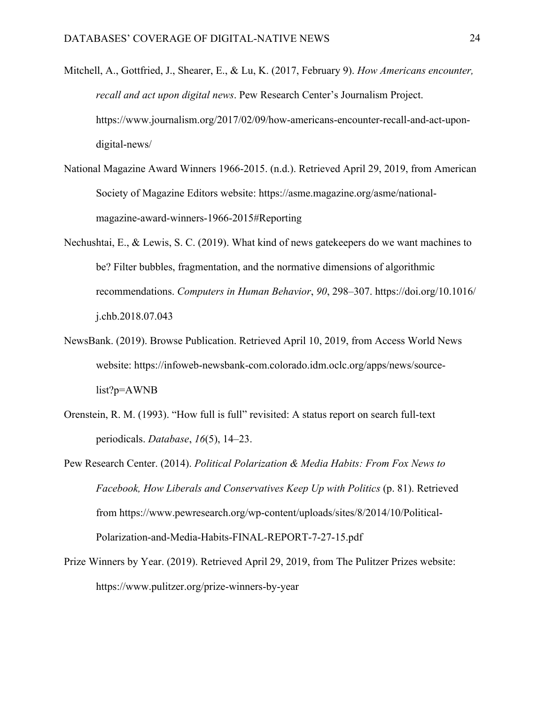- Mitchell, A., Gottfried, J., Shearer, E., & Lu, K. (2017, February 9). *How Americans encounter, recall and act upon digital news*. Pew Research Center's Journalism Project. https://www.journalism.org/2017/02/09/how-americans-encounter-recall-and-act-upondigital-news/
- National Magazine Award Winners 1966-2015. (n.d.). Retrieved April 29, 2019, from American Society of Magazine Editors website: https://asme.magazine.org/asme/nationalmagazine-award-winners-1966-2015#Reporting
- Nechushtai, E., & Lewis, S. C. (2019). What kind of news gatekeepers do we want machines to be? Filter bubbles, fragmentation, and the normative dimensions of algorithmic recommendations. *Computers in Human Behavior*, *90*, 298–307. https://doi.org/10.1016/ j.chb.2018.07.043
- NewsBank. (2019). Browse Publication. Retrieved April 10, 2019, from Access World News website: https://infoweb-newsbank-com.colorado.idm.oclc.org/apps/news/sourcelist?p=AWNB
- Orenstein, R. M. (1993). "How full is full" revisited: A status report on search full-text periodicals. *Database*, *16*(5), 14–23.
- Pew Research Center. (2014). *Political Polarization & Media Habits: From Fox News to Facebook, How Liberals and Conservatives Keep Up with Politics* (p. 81). Retrieved from https://www.pewresearch.org/wp-content/uploads/sites/8/2014/10/Political-Polarization-and-Media-Habits-FINAL-REPORT-7-27-15.pdf
- Prize Winners by Year. (2019). Retrieved April 29, 2019, from The Pulitzer Prizes website: https://www.pulitzer.org/prize-winners-by-year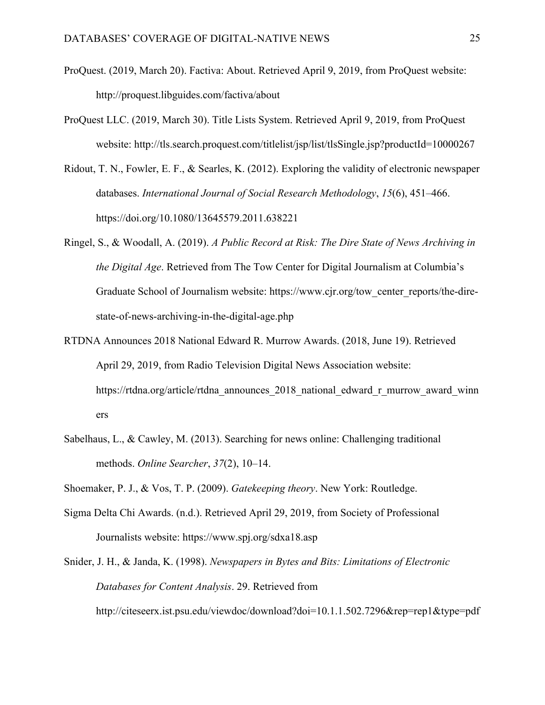- ProQuest. (2019, March 20). Factiva: About. Retrieved April 9, 2019, from ProQuest website: http://proquest.libguides.com/factiva/about
- ProQuest LLC. (2019, March 30). Title Lists System. Retrieved April 9, 2019, from ProQuest website: http://tls.search.proquest.com/titlelist/jsp/list/tlsSingle.jsp?productId=10000267
- Ridout, T. N., Fowler, E. F., & Searles, K. (2012). Exploring the validity of electronic newspaper databases. *International Journal of Social Research Methodology*, *15*(6), 451–466. https://doi.org/10.1080/13645579.2011.638221
- Ringel, S., & Woodall, A. (2019). *A Public Record at Risk: The Dire State of News Archiving in the Digital Age*. Retrieved from The Tow Center for Digital Journalism at Columbia's Graduate School of Journalism website: https://www.cjr.org/tow\_center\_reports/the-direstate-of-news-archiving-in-the-digital-age.php
- RTDNA Announces 2018 National Edward R. Murrow Awards. (2018, June 19). Retrieved April 29, 2019, from Radio Television Digital News Association website: https://rtdna.org/article/rtdna\_announces\_2018\_national\_edward\_r\_murrow\_award\_winn ers
- Sabelhaus, L., & Cawley, M. (2013). Searching for news online: Challenging traditional methods. *Online Searcher*, *37*(2), 10–14.
- Shoemaker, P. J., & Vos, T. P. (2009). *Gatekeeping theory*. New York: Routledge.
- Sigma Delta Chi Awards. (n.d.). Retrieved April 29, 2019, from Society of Professional Journalists website: https://www.spj.org/sdxa18.asp
- Snider, J. H., & Janda, K. (1998). *Newspapers in Bytes and Bits: Limitations of Electronic Databases for Content Analysis*. 29. Retrieved from

http://citeseerx.ist.psu.edu/viewdoc/download?doi=10.1.1.502.7296&rep=rep1&type=pdf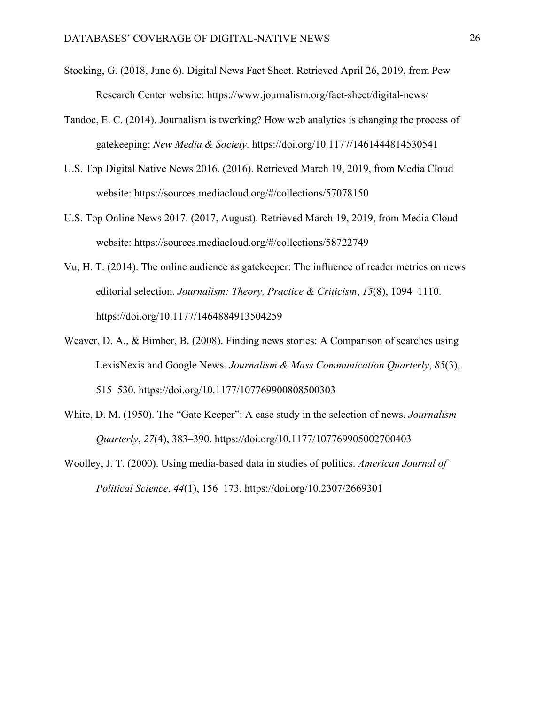- Stocking, G. (2018, June 6). Digital News Fact Sheet. Retrieved April 26, 2019, from Pew Research Center website: https://www.journalism.org/fact-sheet/digital-news/
- Tandoc, E. C. (2014). Journalism is twerking? How web analytics is changing the process of gatekeeping: *New Media & Society*. https://doi.org/10.1177/1461444814530541
- U.S. Top Digital Native News 2016. (2016). Retrieved March 19, 2019, from Media Cloud website: https://sources.mediacloud.org/#/collections/57078150
- U.S. Top Online News 2017. (2017, August). Retrieved March 19, 2019, from Media Cloud website: https://sources.mediacloud.org/#/collections/58722749
- Vu, H. T. (2014). The online audience as gatekeeper: The influence of reader metrics on news editorial selection. *Journalism: Theory, Practice & Criticism*, *15*(8), 1094–1110. https://doi.org/10.1177/1464884913504259
- Weaver, D. A., & Bimber, B. (2008). Finding news stories: A Comparison of searches using LexisNexis and Google News. *Journalism & Mass Communication Quarterly*, *85*(3), 515–530. https://doi.org/10.1177/107769900808500303
- White, D. M. (1950). The "Gate Keeper": A case study in the selection of news. *Journalism Quarterly*, *27*(4), 383–390. https://doi.org/10.1177/107769905002700403
- Woolley, J. T. (2000). Using media-based data in studies of politics. *American Journal of Political Science*, *44*(1), 156–173. https://doi.org/10.2307/2669301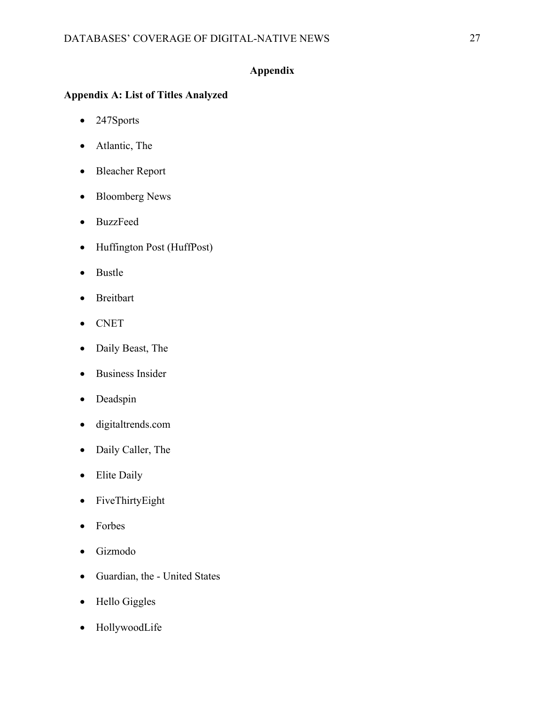## **Appendix**

## **Appendix A: List of Titles Analyzed**

- 247Sports
- Atlantic, The
- Bleacher Report
- Bloomberg News
- BuzzFeed
- Huffington Post (HuffPost)
- Bustle
- Breitbart
- CNET
- Daily Beast, The
- Business Insider
- Deadspin
- digitaltrends.com
- Daily Caller, The
- Elite Daily
- FiveThirtyEight
- Forbes
- Gizmodo
- Guardian, the United States
- Hello Giggles
- HollywoodLife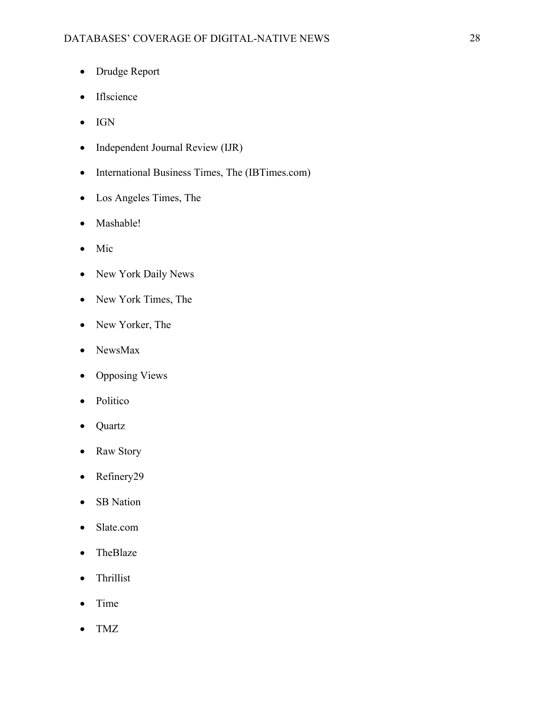- Drudge Report
- Iflscience
- IGN
- Independent Journal Review (IJR)
- International Business Times, The (IBTimes.com)
- Los Angeles Times, The
- Mashable!
- Mic
- New York Daily News
- New York Times, The
- New Yorker, The
- NewsMax
- Opposing Views
- Politico
- Quartz
- Raw Story
- Refinery29
- SB Nation
- Slate.com
- TheBlaze
- Thrillist
- Time
- TMZ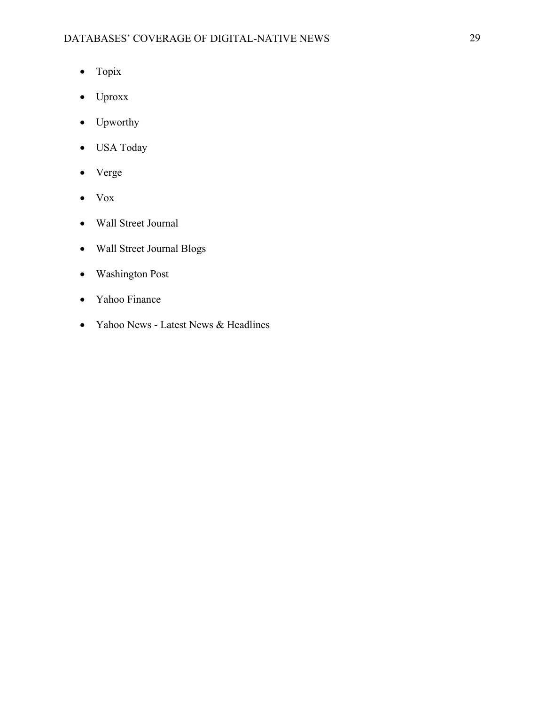- Topix
- Uproxx
- Upworthy
- USA Today
- Verge
- Vox
- Wall Street Journal
- Wall Street Journal Blogs
- Washington Post
- Yahoo Finance
- Yahoo News Latest News & Headlines